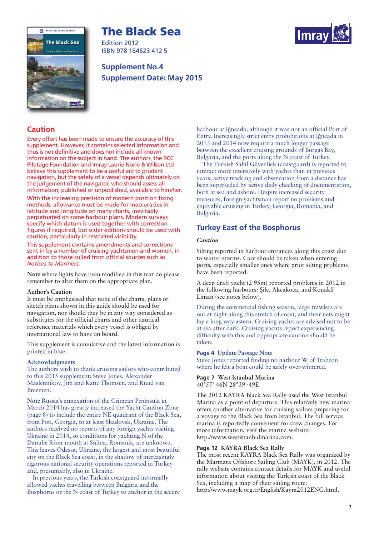# **The Black Sea**



Edition 2012 ISBN 978 184623 412 5

## **Supplement No.4 Supplement Date: May 2015**



## **Caution**

Every effort has been made to ensure the accuracy of this supplement. However, it contains selected information and thus is not definitive and does not include all known information on the subject in hand. The authors, the RCC Pilotage Foundation and Imray Laurie Norie & Wilson Ltd believe this supplement to be a useful aid to prudent navigation, but the safety of a vessel depends ultimately on the judgement of the navigator, who should assess all information, published or unpublished, available to him/her.

With the increasing precision of modern position fixing methods, allowance must be made for inaccuracies in latitude and longitude on many charts, inevitably perpetuated on some harbour plans. Modern surveys specify which datum is used together with correction figures if required, but older editions should be used with caution, particularly in restricted visibility.

This supplement contains amendments and corrections sent in by a number of cruising yachtsmen and women, in addition to those culled from official sources such as *Notices to Mariners.*

**Note** where lights have been modified in this text do please remember to alter them on the appropriate plan.

## **Author's Caution**

It must be emphasised that none of the charts, plans or sketch plans shown in this guide should be used for navigation, nor should they be in any way considered as substitutes for the official charts and other nautical reference materials which every vessel is obliged by international law to have on board.

This supplement is cumulative and the latest information is printed in blue.

## **Acknowledgments**

The authors wish to thank cruising sailors who contributed to this 2015 supplement: Steve Jones, Alexander Maslennikov, Jim and Katie Thomsen, and Ruud van Breemen.

**Note** Russia's annexation of the Crimean Peninsula in March 2014 has greatly increased the Yacht Caution Zone (page 8) to include the entire NE quadrant of the Black Sea, from Poti, Georgia, to at least Skadovsk, Ukraine. The authors received no reports of any foreign yachts visiting Ukraine in 2014, so conditions for yachting N of the Danube River mouth at Sulina, Romania, are unknown. This leaves Odessa, Ukraine, the largest and most beautiful city on the Black Sea coast, in the shadow of increasingly rigorous national security operations reported in Turkey and, presumably, also in Ukraine.

In previous years, the Turkish coastguard informally allowed yachts travelling between Bulgaria and the Bosphorus or the N coast of Turkey to anchor in the secure harbour at Iğneada, although it was not an official Port of Entry. Increasingly strict entry prohibitions at Iğneada in 2013 and 2014 now require a much longer passage between the excellent cruising grounds of Burgas Bay, Bulgaria, and the ports along the N coast of Turkey.

The Turkish Sahil Güvenlick (coastguard) is reported to interact more intensively with yachts than in previous years; active tracking and observation from a distance has been superseded by active daily checking of documentation, both at sea and ashore. Despite increased security measures, foreign yachtsman report no problems and enjoyable cruising in Turkey, Georgia, Romania, and Bulgaria.

## **Turkey East of the Bosphorus**

## *Caution*

Silting reported in harbour entrances along this coast due to winter storms. Care should be taken when entering ports, especially smaller ones where prior silting problems have been reported.

A deep draft yacht (2·95m) reported problems in 2012 in the following harbours: Sile, Akcakoca, and Konakli Liman (see notes below).

During the commercial fishing season, large trawlers are out at night along this stretch of coast, and their nets might lay a long way astern. Cruising yachts are advised not to be at sea after dark. Cruising yachts report experiencing difficulty with this and appropriate caution should be taken.

## **Page 4 Update Passage Note**

Steve Jones reported finding no harbour W of Trabzon where he felt a boat could be safely over-wintered.

**Page 7 West Istanbul Marina** 40°57'·46N 28°39'·49E

The 2012 KAYRA Black Sea Rally used the West Istanbul Marina as a point of departure. This relatively new marina offers another alternative for cruising sailors preparing for a voyage to the Black Sea from Istanbul. The full service marina is reportedly convenient for crew changes. For more information, visit the marina website: http://www.westistanbulmarina.com.

## **Page 12 KAYRA Black Sea Rally**

The most recent KAYRA Black Sea Rally was organized by the Marmara Offshore Sailing Club (MAYK), in 2012. The rally website contains contact details for MAYK and useful information about visiting the Turkish coast of the Black Sea, including a map of their sailing route: http://www.mayk.org.tr/English/Kayra2012ENG.html.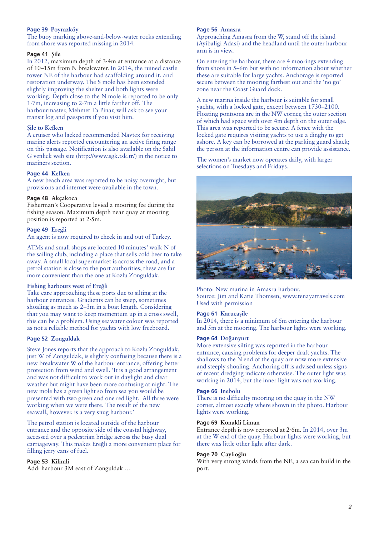## **Page 39 Poyrazköy**

The buoy marking above-and-below-water rocks extending from shore was reported missing in 2014.

## **Page 41 Nile**

In 2012, maximum depth of 3·4m at entrance at a distance of 10–15m from N breakwater. In 2014, the ruined castle tower NE of the harbour had scaffolding around it, and restoration underway. The S mole has been extended slightly improving the shelter and both lights were working. Depth close to the N mole is reported to be only 1·7m, increasing to 2·7m a little farther off. The harbourmaster, Mehmet Ta Pinar, will ask to see your transit log and passports if you visit him.

#### N**ile to Kefken**

A cruiser who lacked recommended Navtex for receiving marine alerts reported encountering an active firing range on this passage. Notification is also available on the Sahil G venlick web site (http://www.sgk.tsk.tr/) in the notice to mariners section.

## **Page 44 Kefken**

A new beach area was reported to be noisy overnight, but provisions and internet were available in the town.

## **Page 48 Akçakoca**

Fisherman's Cooperative levied a mooring fee during the fishing season. Maximum depth near quay at mooring position is reported at 2·5m.

#### **Page 49 Ereğli**

An agent is now required to check in and out of Turkey.

ATMs and small shops are located 10 minutes' walk N of the sailing club, including a place that sells cold beer to take away. A small local supermarket is across the road, and a petrol station is close to the port authorities; these are far more convenient than the one at Kozlu Zonguldak.

#### **Fishing harbours west of Erehli**

Take care approaching these ports due to silting at the harbour entrances. Gradients can be steep, sometimes shoaling as much as 2–3m in a boat length. Considering that you may want to keep momentum up in a cross swell, this can be a problem. Using seawater colour was reported as not a reliable method for yachts with low freeboard.

## **Page 52 Zonguldak**

Steve Jones reports that the approach to Kozlu Zonguldak, just W of Zonguldak, is slightly confusing because there is a new breakwater W of the harbour entrance, offering better protection from wind and swell. 'It is a good arrangement and was not difficult to work out in daylight and clear weather but might have been more confusing at night. The new mole has a green light so from sea you would be presented with two green and one red light. All three were working when we were there. The result of the new seawall, however, is a very snug harbour.'

The petrol station is located outside of the harbour entrance and the opposite side of the coastal highway, accessed over a pedestrian bridge across the busy dual carriageway. This makes Ereğli a more convenient place for filling jerry cans of fuel.

#### **Page 53 Kilimli**

Add: harbour 3M east of Zonguldak …

#### **Page 56 Amasra**

Approaching Amasra from the W, stand off the island (Ayibaligi Adasi) and the headland until the outer harbour arm is in view.

On entering the harbour, there are 4 moorings extending from shore in 5–6m but with no information about whether these are suitable for large yachts. Anchorage is reported secure between the mooring farthest out and the 'no go' zone near the Coast Guard dock.

A new marina inside the harbour is suitable for small yachts, with a locked gate, except between 1730–2100. Floating pontoons are in the NW corner, the outer section of which had space with over 4m depth on the outer edge. This area was reported to be secure. A fence with the locked gate requires visiting yachts to use a dinghy to get ashore. A key can be borrowed at the parking guard shack; the person at the information centre can provide assistance.

The women's market now operates daily, with larger selections on Tuesdays and Fridays.



Photo: New marina in Amasra harbour. Source: Jim and Katie Thomsen, www.tenayatravels.com Used with permission

#### **Page 61 Karucasile**

In 2014, there is a minimum of 6m entering the harbour and 5m at the mooring. The harbour lights were working.

## **Page 64 Dohanyurt**

More extensive silting was reported in the harbour entrance, causing problems for deeper draft yachts. The shallows to the N end of the quay are now more extensive and steeply shoaling. Anchoring off is advised unless signs of recent dredging indicate otherwise. The outer light was working in 2014, but the inner light was not working.

#### **Page 66 Inebolu**

There is no difficulty mooring on the quay in the NW corner, almost exactly where shown in the photo. Harbour lights were working.

## **Page 69 Konakli Liman**

Entrance depth is now reported at 2·6m. In 2014, over 3m at the W end of the quay. Harbour lights were working, but there was little other light after dark.

#### **Page 70** Caylioğlu

With very strong winds from the NE, a sea can build in the port.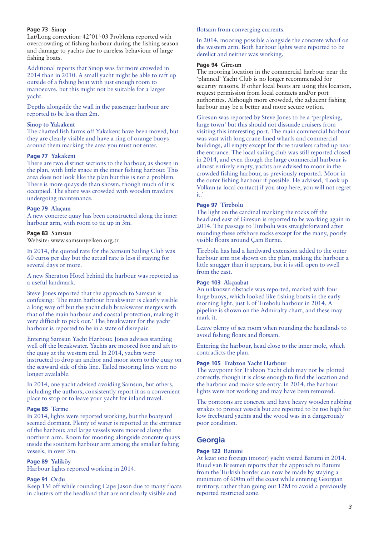## **Page 73 Sinop**

Lat/Long correction: 42°01'·03 Problems reported with overcrowding of fishing harbour during the fishing season and damage to yachts due to careless behaviour of large fishing boats.

Additional reports that Sinop was far more crowded in 2014 than in 2010. A small yacht might be able to raft up outside of a fishing boat with just enough room to manoeuvre, but this might not be suitable for a larger yacht.

Depths alongside the wall in the passenger harbour are reported to be less than 2m.

## **Sinop to Yakakent**

The charted fish farms off Yakakent have been moved, but they are clearly visible and have a ring of orange buoys around them marking the area you must not enter.

## **Page 77 Yakakent**

There are two distinct sections to the harbour, as shown in the plan, with little space in the inner fishing harbour. This area does not look like the plan but this is not a problem. There is more quayside than shown, though much of it is occupied. The shore was crowded with wooden trawlers undergoing maintenance.

#### **Page 79 Alaçam**

A new concrete quay has been constructed along the inner harbour arm, with room to tie up in 3m.

#### **Page 83 Samsun**

Website: www.samsunyelken.org.tr

In 2014, the quoted rate for the Samsun Sailing Club was 60 euros per day but the actual rate is less if staying for several days or more.

A new Sheraton Hotel behind the harbour was reported as a useful landmark.

Steve Jones reported that the approach to Samsun is confusing: 'The main harbour breakwater is clearly visible a long way off but the yacht club breakwater merges with that of the main harbour and coastal protection, making it very difficult to pick out.' The breakwater for the yacht harbour is reported to be in a state of disrepair.

Entering Samsun Yacht Harbour, Jones advises standing well off the breakwater. Yachts are moored fore and aft to the quay at the western end. In 2014, yachts were instructed to drop an anchor and moor stern to the quay on the seaward side of this line. Tailed mooring lines were no longer available.

In 2014, one yacht advised avoiding Samsun, but others, including the authors, consistently report it as a convenient place to stop or to leave your yacht for inland travel.

## **Page 85 Terme**

In 2014, lights were reported working, but the boatyard seemed dormant. Plenty of water is reported at the entrance of the harbour, and large vessels were moored along the northern arm. Room for mooring alongside concrete quays inside the southern harbour arm among the smaller fishing vessels, in over 3m.

#### **Page 89 Yaliköy**

Harbour lights reported working in 2014.

## **Page 91 Ordu**

Keep 1M off while rounding Cape Jason due to many floats in clusters off the headland that are not clearly visible and

#### flotsam from converging currents.

In 2014, mooring possible alongside the concrete wharf on the western arm. Both harbour lights were reported to be derelict and neither was working.

#### **Page 94 Giresun**

The mooring location in the commercial harbour near the 'planned' Yacht Club is no longer recommended for security reasons. If other local boats are using this location, request permission from local contacts and/or port authorities. Although more crowded, the adjacent fishing harbour may be a better and more secure option.

Giresun was reported by Steve Jones to be a 'perplexing, large town' but this should not dissuade cruisers from visiting this interesting port. The main commercial harbour was vast with long crane-lined wharfs and commercial buildings, all empty except for three trawlers rafted up near the entrance. The local sailing club was still reported closed in 2014, and even though the large commercial harbour is almost entirely empty, yachts are advised to moor in the crowded fishing harbour, as previously reported. Moor in the outer fishing harbour if possible. He advised, 'Look up Volkan (a local contact) if you stop here, you will not regret it.'

#### **Page 97 Tirebolu**

The light on the cardinal marking the rocks off the headland east of Giresun is reported to be working again in 2014. The passage to Tirebolu was straightforward after rounding these offshore rocks except for the many, poorly visible floats around Çam Burnu.

Tirebolu has had a landward extension added to the outer harbour arm not shown on the plan, making the harbour a little snugger than it appears, but it is still open to swell from the east.

## **Page 103 Akçaabat**

An unknown obstacle was reported, marked with four large buoys, which looked like fishing boats in the early morning light, just E of Tirebolu harbour in 2014. A pipeline is shown on the Admiralty chart, and these may mark it.

Leave plenty of sea room when rounding the headlands to avoid fishing floats and flotsam.

Entering the harbour, head close to the inner mole, which contradicts the plan.

#### **Page 105 Trabzon Yacht Harbour**

The waypoint for Trabzon Yacht club may not be plotted correctly, though it is close enough to find the location and the harbour and make safe entry. In 2014, the harbour lights were not working and may have been removed.

The pontoons are concrete and have heavy wooden rubbing strakes to protect vessels but are reported to be too high for low freeboard yachts and the wood was in a dangerously poor condition.

## **Georgia**

#### **Page 122 Batumi**

At least one foreign (motor) yacht visited Batumi in 2014. Ruud van Breemen reports that the approach to Batumi from the Turkish border can now be made by staying a minimum of 600m off the coast while entering Georgian territory, rather than going out 12M to avoid a previously reported restricted zone.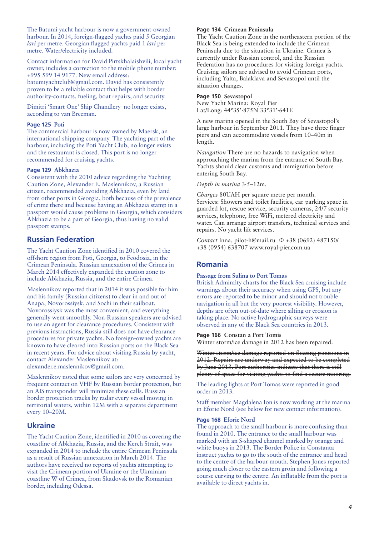The Batumi yacht harbour is now a government-owned harbour. In 2014, foreign-flagged yachts paid 5 Georgian *lari* per metre. Georgian flagged yachts paid 1 *lari* per metre. Water/electricity included.

Contact information for David Pirtskhalaishvili, local yacht owner, includes a correction to the mobile phone number: +995 599 14 9177. New email address: batumiyachtclub@gmail.com. David has consistently proven to be a reliable contact that helps with border authority-contacts, fueling, boat repairs, and security.

Dimitri 'Smart One' Ship Chandlery no longer exists, according to van Breeman.

## **Page 125 Poti**

The commercial harbour is now owned by Maersk, an international shipping company. The yachting part of the harbour, including the Poti Yacht Club, no longer exists and the restaurant is closed. This port is no longer recommended for cruising yachts.

#### **Page 129 Abkhazia**

Consistent with the 2010 advice regarding the Yachting Caution Zone, Alexander E. Maslennikov, a Russian citizen, recommended avoiding Abkhazia, even by land from other ports in Georgia, both because of the prevalence of crime there and because having an Abkhazia stamp in a passport would cause problems in Georgia, which considers Abkhazia to be a part of Georgia, thus having no valid passport stamps.

## **Russian Federation**

The Yacht Caution Zone identified in 2010 covered the offshore region from Poti, Georgia, to Feodosia, in the Crimean Peninsula. Russian annexation of the Crimea in March 2014 effectively expanded the caution zone to include Abkhazia, Russia, and the entire Crimea.

Maslennikov reported that in 2014 it was possible for him and his family (Russian citizens) to clear in and out of Anapa, Novorossiysk, and Sochi in their sailboat. Novorossiysk was the most convenient, and everything generally went smoothly. Non-Russian speakers are advised to use an agent for clearance procedures. Consistent with previous instructions, Russia still does not have clearance procedures for private yachts. No foreign-owned yachts are known to have cleared into Russian ports on the Black Sea in recent years. For advice about visiting Russia by yacht, contact Alexander Maslennikov at: alexander.e.maslennikov@gmail.com.

Maslennikov noted that some sailors are very concerned by frequent contact on VHF by Russian border protection, but an AIS transponder will minimize these calls. Russian border protection tracks by radar every vessel moving in territorial waters, within 12M with a separate department every 10–20M.

## **Ukraine**

The Yacht Caution Zone, identified in 2010 as covering the coastline of Abkhazia, Russia, and the Kerch Strait, was expanded in 2014 to include the entire Crimean Peninsula as a result of Russian annexation in March 2014. The authors have received no reports of yachts attempting to visit the Crimean portion of Ukraine or the Ukrainian coastline W of Crimea, from Skadovsk to the Romanian border, including Odessa.

#### **Page 134 Crimean Peninsula**

The Yacht Caution Zone in the northeastern portion of the Black Sea is being extended to include the Crimean Peninsula due to the situation in Ukraine. Crimea is currently under Russian control, and the Russian Federation has no procedures for visiting foreign yachts. Cruising sailors are advised to avoid Crimean ports, including Yalta, Balaklava and Sevastopol until the situation changes.

## **Page 150 Sevastopol**

New Yacht Marina: Royal Pier Lat/Long: 44°35'·875N 33°31'·641E

A new marina opened in the South Bay of Sevastopol's large harbour in September 2011. They have three finger piers and can accommodate vessels from 10–40m in length.

*Navigation* There are no hazards to navigation when approaching the marina from the entrance of South Bay. Yachts should clear customs and immigration before entering South Bay.

#### *Depth in marina* 3·5–12m.

*Charges* 80UAH per square metre per month. Services: Showers and toilet facilities, car parking space in guarded lot, rescue service, security cameras, 24/7 security services, telephone, free WiFi, metered electricity and water. Can arrange airport transfers, technical services and repairs. No yacht lift services.

Contact Inna, pilot-h@mail.ru 0 +38 (0692) 487150/ +38 (0954) 638707 www.royal-pier.com.ua

## **Romania**

#### **Passage from Sulina to Port Tomas**

British Admiralty charts for the Black Sea cruising include warnings about their accuracy when using GPS, but any errors are reported to be minor and should not trouble navigation in all but the very poorest visibility. However, depths are often out-of-date where silting or erosion is taking place. No active hydrographic surveys were observed in any of the Black Sea countries in 2013.

#### **Page 166 Constan a Port Tomis**

Winter storm/ice damage in 2012 has been repaired.

Winter storm/ice damage reported on floating pontoons in 2012. Repairs are underway and expected to be completed by June 2013. Port authorities indicate that there is still plenty of space for visiting yachts to find a secure mooring.

The leading lights at Port Tomas were reported in good order in 2013.

Staff member Magdalena Ion is now working at the marina in Eforie Nord (see below for new contact information).

#### **Page 168 Eforie Nord**

The approach to the small harbour is more confusing than found in 2010. The entrance to the small harbour was marked with an S-shaped channel marked by orange and white buoys in 2013. The Border Police in Constanta instruct yachts to go to the south of the entrance and head to the centre of the harbour mouth. Stephen Jones reported going much closer to the eastern groin and following a course curving to the centre. An inflatable from the port is available to direct yachts in.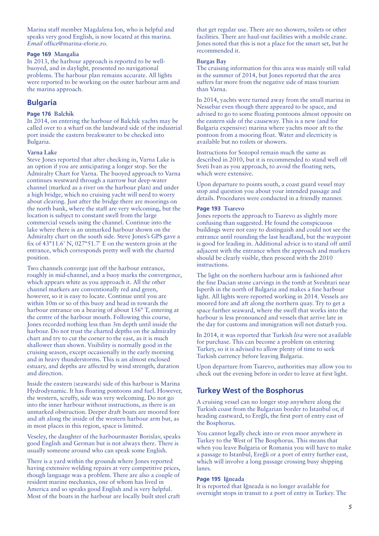Marina staff member Magdalena Ion, who is helpful and speaks very good English, is now located at this marina. *Email* office@marina-eforie.ro.

## **Page 169 Mangalia**

In 2013, the harbour approach is reported to be wellbuoyed, and in daylight, presented no navigational problems. The harbour plan remains accurate. All lights were reported to be working on the outer harbour arm and the marina approach.

## **Bulgaria**

#### **Page 176 Balchik**

In 2014, on entering the harbour of Balchik yachts may be called over to a wharf on the landward side of the industrial port inside the eastern breakwater to be checked into Bulgaria.

#### **Varna Lake**

Steve Jones reported that after checking in, Varna Lake is an option if you are anticipating a longer stop. See the Admiralty Chart for Varna. The buoyed approach to Varna continues westward through a narrow but deep-water channel (marked as a river on the harbour plan) and under a high bridge, which no cruising yacht will need to worry about clearing. Just after the bridge there are moorings on the north bank, where the staff are very welcoming, but the location is subject to constant swell from the large commercial vessels using the channel. Continue into the lake where there is an unmarked harbour shown on the Admiralty chart on the south side. Steve Jones's GPS gave a fix of 43°11.6' N, 027°51.7' E on the western groin at the entrance, which corresponds pretty well with the charted position.

Two channels converge just off the harbour entrance, roughly in mid-channel, and a buoy marks the convergence, which appears white as you approach it. All the other channel markers are conventionally red and green, however, so it is easy to locate. Continue until you are within 10m or so of this buoy and head in towards the harbour entrance on a bearing of about 156° T, entering at the centre of the harbour mouth. Following this course, Jones recorded nothing less than 3m depth until inside the harbour. Do not trust the charted depths on the admiralty chart and try to cut the corner to the east, as it is much shallower than shown. Visibility is normally good in the cruising season, except occasionally in the early morning and in heavy thunderstorms. This is an almost enclosed estuary, and depths are affected by wind strength, duration and direction.

Inside the eastern (seawards) side of this harbour is Marina Hydrodynamic. It has floating pontoons and fuel. However, the western, scruffy, side was very welcoming. Do not go into the inner harbour without instructions, as there is an unmarked obstruction. Deeper draft boats are moored fore and aft along the inside of the western harbour arm but, as in most places in this region, space is limited.

Veseley, the daughter of the harbourmaster Borislav, speaks good English and German but is not always there. There is usually someone around who can speak some English.

There is a yard within the grounds where Jones reported having extensive welding repairs at very competitive prices, though language was a problem. There are also a couple of resident marine mechanics, one of whom has lived in America and so speaks good English and is very helpful. Most of the boats in the harbour are locally built steel craft that get regular use. There are no showers, toilets or other facilities. There are haul-out facilities with a mobile crane. Jones noted that this is not a place for the smart set, but he recommended it.

#### **Burgas Bay**

The cruising information for this area was mainly still valid in the summer of 2014, but Jones reported that the area suffers far more from the negative side of mass tourism than Varna.

In 2014, yachts were turned away from the small marina in Nessebar even though there appeared to be space, and advised to go to some floating pontoons almost opposite on the eastern side of the causeway. This is a new (and for Bulgaria expensive) marina where yachts moor aft to the pontoon from a mooring float. Water and electricity is available but no toilets or showers.

Instructions for Sozopol remain much the same as described in 2010, but it is recommended to stand well off Sveti Ivan as you approach, to avoid the floating nets, which were extensive.

Upon departure to points south, a coast guard vessel may stop and question you about your intended passage and details. Procedures were conducted in a friendly manner.

#### **Page 193 Tsarevo**

Jones reports the approach to Tsarevo as slightly more confusing than suggested. He found the conspicuous buildings were not easy to distinguish and could not see the entrance until rounding the last headland, but the waypoint is good for leading in. Additional advice is to stand off until adjacent with the entrance when the approach and markers should be clearly visible, then proceed with the 2010 instructions.

The light on the northern harbour arm is fashioned after the fine Dacian stone carvings in the tomb at Sveshtari near Isperih in the north of Bulgaria and makes a fine harbour light. All lights were reported working in 2014. Vessels are moored fore and aft along the northern quay. Try to get a space further seaward, where the swell that works into the harbour is less pronounced and vessels that arrive late in the day for customs and immigration will not disturb you.

In 2014, it was reported that Turkish *lira* were not available for purchase. This can become a problem on entering Turkey, so it is advised to allow plenty of time to seek Turkish currency before leaving Bulgaria.

Upon departure from Tsarevo, authorities may allow you to check out the evening before in order to leave at first light.

## **Turkey West of the Bosphorus**

A cruising vessel can no longer stop anywhere along the Turkish coast from the Bulgarian border to Istanbul or, if heading eastward, to Ereğli, the first port of entry east of the Bosphorus.

You cannot legally check into or even moor anywhere in Turkey to the West of The Bosphorus. This means that when you leave Bulgaria or Romania you will have to make a passage to Istanbul, Ereğli or a port of entry further east, which will involve a long passage crossing busy shipping lanes.

#### **Page 195 Ihneada**

It is reported that Igneada is no longer available for overnight stops in transit to a port of entry in Turkey. The